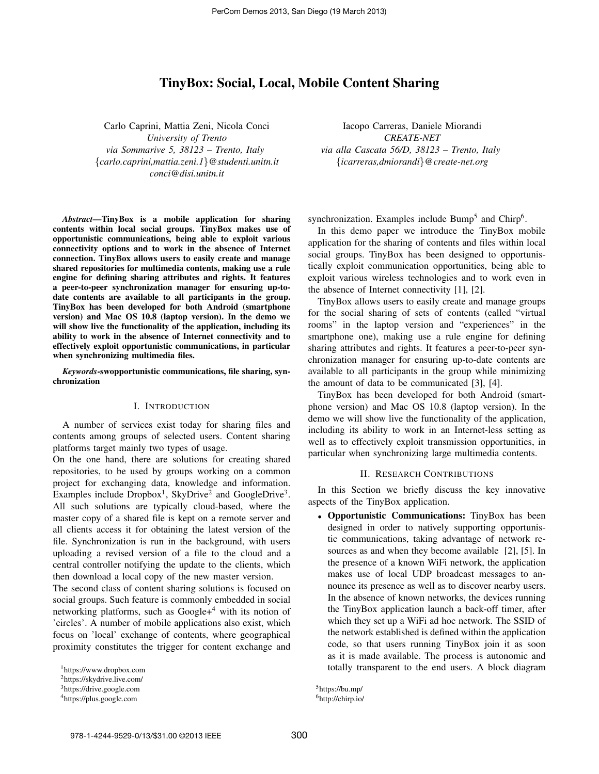# TinyBox: Social, Local, Mobile Content Sharing

Carlo Caprini, Mattia Zeni, Nicola Conci *University of Trento via Sommarive 5, 38123 – Trento, Italy* {*carlo.caprini,mattia.zeni.1*}*@studenti.unitn.it conci@disi.unitn.it*

*Abstract*—TinyBox is a mobile application for sharing contents within local social groups. TinyBox makes use of opportunistic communications, being able to exploit various connectivity options and to work in the absence of Internet connection. TinyBox allows users to easily create and manage shared repositories for multimedia contents, making use a rule engine for defining sharing attributes and rights. It features a peer-to-peer synchronization manager for ensuring up-todate contents are available to all participants in the group. TinyBox has been developed for both Android (smartphone version) and Mac OS 10.8 (laptop version). In the demo we will show live the functionality of the application, including its ability to work in the absence of Internet connectivity and to effectively exploit opportunistic communications, in particular when synchronizing multimedia files.

*Keywords*-swopportunistic communications, file sharing, synchronization

### I. INTRODUCTION

A number of services exist today for sharing files and contents among groups of selected users. Content sharing platforms target mainly two types of usage.

On the one hand, there are solutions for creating shared repositories, to be used by groups working on a common project for exchanging data, knowledge and information. Examples include  $Dropbox<sup>1</sup>$ , SkyDrive<sup>2</sup> and GoogleDrive<sup>3</sup>. All such solutions are typically cloud-based, where the master copy of a shared file is kept on a remote server and all clients access it for obtaining the latest version of the file. Synchronization is run in the background, with users uploading a revised version of a file to the cloud and a central controller notifying the update to the clients, which then download a local copy of the new master version.

The second class of content sharing solutions is focused on social groups. Such feature is commonly embedded in social networking platforms, such as Google+<sup>4</sup> with its notion of 'circles'. A number of mobile applications also exist, which focus on 'local' exchange of contents, where geographical proximity constitutes the trigger for content exchange and

Iacopo Carreras, Daniele Miorandi *CREATE-NET via alla Cascata 56/D, 38123 – Trento, Italy* {*icarreras,dmiorandi*}*@create-net.org*

synchronization. Examples include Bump<sup>5</sup> and Chirp<sup>6</sup>.

In this demo paper we introduce the TinyBox mobile application for the sharing of contents and files within local social groups. TinyBox has been designed to opportunistically exploit communication opportunities, being able to exploit various wireless technologies and to work even in the absence of Internet connectivity [1], [2].

TinyBox allows users to easily create and manage groups for the social sharing of sets of contents (called "virtual rooms" in the laptop version and "experiences" in the smartphone one), making use a rule engine for defining sharing attributes and rights. It features a peer-to-peer synchronization manager for ensuring up-to-date contents are available to all participants in the group while minimizing the amount of data to be communicated [3], [4].

TinyBox has been developed for both Android (smartphone version) and Mac OS 10.8 (laptop version). In the demo we will show live the functionality of the application, including its ability to work in an Internet-less setting as well as to effectively exploit transmission opportunities, in particular when synchronizing large multimedia contents.

#### II. RESEARCH CONTRIBUTIONS

In this Section we briefly discuss the key innovative aspects of the TinyBox application.

• Opportunistic Communications: TinyBox has been designed in order to natively supporting opportunistic communications, taking advantage of network resources as and when they become available [2], [5]. In the presence of a known WiFi network, the application makes use of local UDP broadcast messages to announce its presence as well as to discover nearby users. In the absence of known networks, the devices running the TinyBox application launch a back-off timer, after which they set up a WiFi ad hoc network. The SSID of the network established is defined within the application code, so that users running TinyBox join it as soon as it is made available. The process is autonomic and totally transparent to the end users. A block diagram

<sup>5</sup>https://bu.mp/ <sup>6</sup>http://chirp.io/

<sup>1</sup>https://www.dropbox.com

<sup>2</sup>https://skydrive.live.com/

<sup>3</sup>https://drive.google.com

<sup>4</sup>https://plus.google.com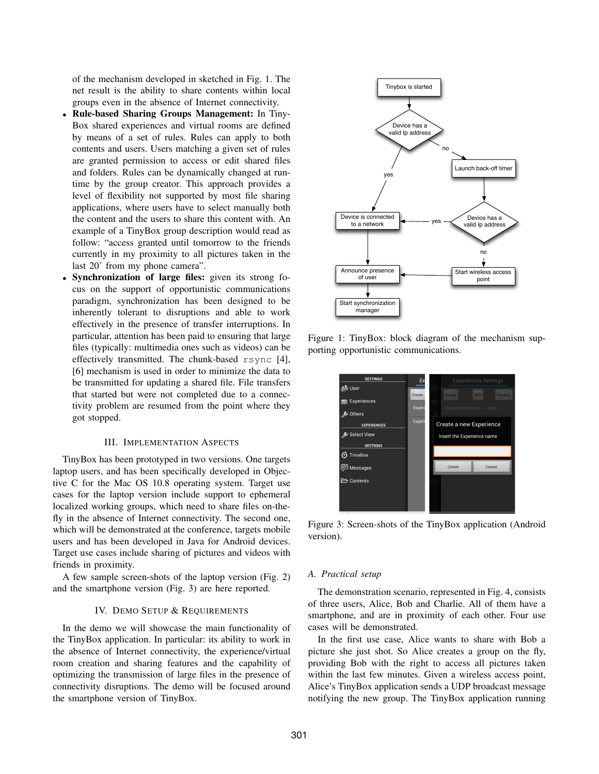of the mechanism developed in sketched in Fig. 1. The net result is the ability to share contents within local groups even in the absence of Internet connectivity.

- Rule-based Sharing Groups Management: In Tiny-Box shared experiences and virtual rooms are defined by means of a set of rules. Rules can apply to both contents and users. Users matching a given set of rules are granted permission to access or edit shared files and folders. Rules can be dynamically changed at runtime by the group creator. This approach provides a level of flexibility not supported by most file sharing applications, where users have to select manually both the content and the users to share this content with. An example of a TinyBox group description would read as follow: "access granted until tomorrow to the friends currently in my proximity to all pictures taken in the last 20' from my phone camera".
- Synchronization of large files: given its strong focus on the support of opportunistic communications paradigm, synchronization has been designed to be inherently tolerant to disruptions and able to work effectively in the presence of transfer interruptions. In particular, attention has been paid to ensuring that large files (typically: multimedia ones such as videos) can be effectively transmitted. The chunk-based rsync [4], [6] mechanism is used in order to minimize the data to be transmitted for updating a shared file. File transfers that started but were not completed due to a connectivity problem are resumed from the point where they got stopped.

### III. IMPLEMENTATION ASPECTS

TinyBox has been prototyped in two versions. One targets laptop users, and has been specifically developed in Objective C for the Mac OS 10.8 operating system. Target use cases for the laptop version include support to ephemeral localized working groups, which need to share files on-thefly in the absence of Internet connectivity. The second one, which will be demonstrated at the conference, targets mobile users and has been developed in Java for Android devices. Target use cases include sharing of pictures and videos with friends in proximity.

A few sample screen-shots of the laptop version (Fig. 2) and the smartphone version (Fig. 3) are here reported.

### IV. DEMO SETUP & REQUIREMENTS

In the demo we will showcase the main functionality of the TinyBox application. In particular: its ability to work in the absence of Internet connectivity, the experience/virtual room creation and sharing features and the capability of optimizing the transmission of large files in the presence of connectivity disruptions. The demo will be focused around the smartphone version of TinyBox.



Figure 1: TinyBox: block diagram of the mechanism supporting opportunistic communications.



Figure 3: Screen-shots of the TinyBox application (Android version).

### *A. Practical setup*

The demonstration scenario, represented in Fig. 4, consists of three users, Alice, Bob and Charlie. All of them have a smartphone, and are in proximity of each other. Four use cases will be demonstrated.

In the first use case, Alice wants to share with Bob a picture she just shot. So Alice creates a group on the fly, providing Bob with the right to access all pictures taken within the last few minutes. Given a wireless access point, Alice's TinyBox application sends a UDP broadcast message notifying the new group. The TinyBox application running